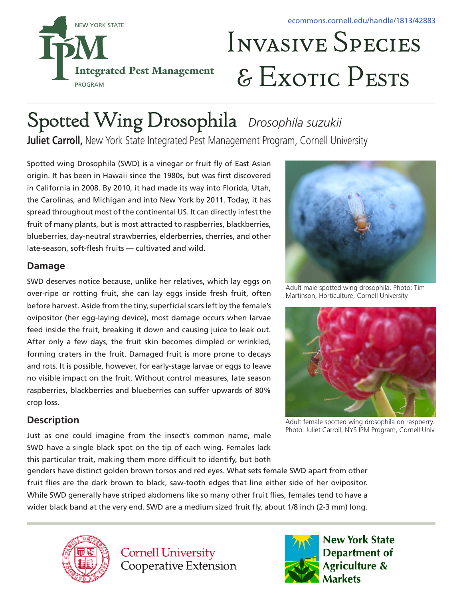

# Invasive Species & Exotic Pests

# Spotted Wing Drosophila *Drosophila suzukii*

Juliet Carroll, New York State Integrated Pest Management Program, Cornell University

Spotted wing Drosophila (SWD) is a vinegar or fruit fly of East Asian origin. It has been in Hawaii since the 1980s, but was first discovered in California in 2008. By 2010, it had made its way into Florida, Utah, the Carolinas, and Michigan and into New York by 2011. Today, it has spread throughout most of the continental US. It can directly infest the fruit of many plants, but is most attracted to raspberries, blackberries, blueberries, day-neutral strawberries, elderberries, cherries, and other late-season, soft-flesh fruits — cultivated and wild.

#### **Damage**

SWD deserves notice because, unlike her relatives, which lay eggs on over-ripe or rotting fruit, she can lay eggs inside fresh fruit, often before harvest. Aside from the tiny, superficial scars left by the female's ovipositor (her egg-laying device), most damage occurs when larvae feed inside the fruit, breaking it down and causing juice to leak out. After only a few days, the fruit skin becomes dimpled or wrinkled, forming craters in the fruit. Damaged fruit is more prone to decays and rots. It is possible, however, for early-stage larvae or eggs to leave no visible impact on the fruit. Without control measures, late season raspberries, blackberries and blueberries can suffer upwards of 80% crop loss.

# **Description**

Just as one could imagine from the insect's common name, male SWD have a single black spot on the tip of each wing. Females lack this particular trait, making them more difficult to identify, but both



Adult male spotted wing drosophila. Photo: Tim Martinson, Horticulture, Cornell University



Adult female spotted wing drosophila on raspberry. Photo: Juliet Carroll, NYS IPM Program, Cornell Univ.

genders have distinct golden brown torsos and red eyes. What sets female SWD apart from other fruit flies are the dark brown to black, saw-tooth edges that line either side of her ovipositor. While SWD generally have striped abdomens like so many other fruit flies, females tend to have a wider black band at the very end. SWD are a medium sized fruit fly, about 1/8 inch (2-3 mm) long.